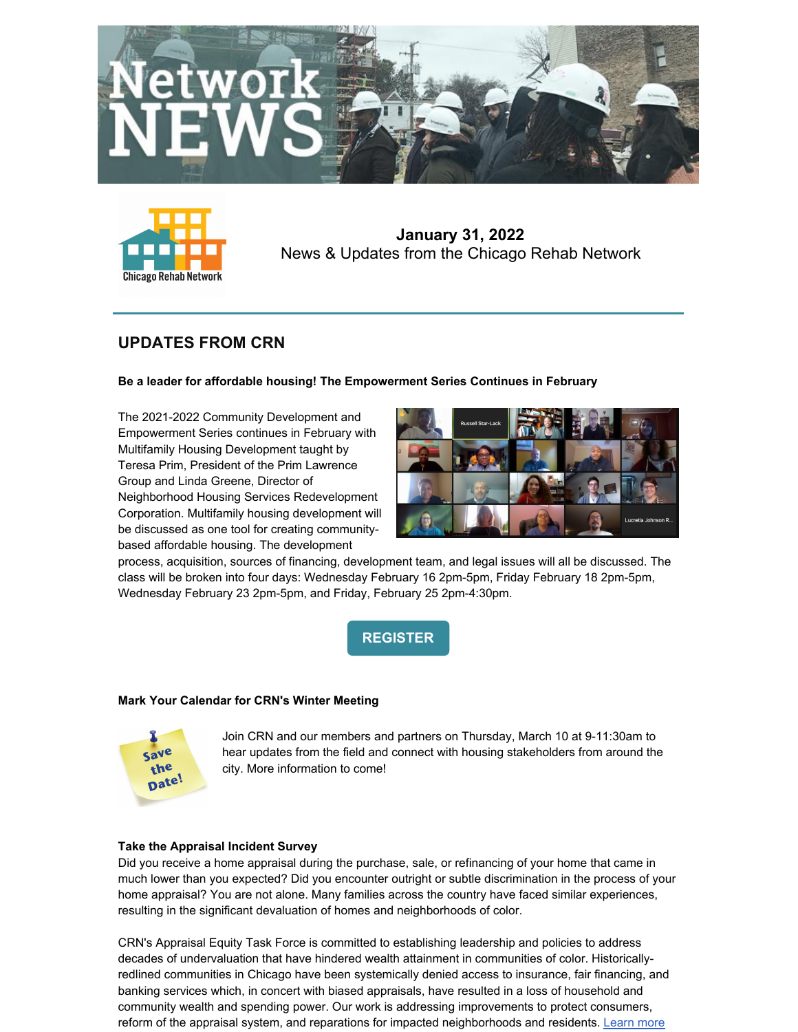



**January 31, 2022** News & Updates from the Chicago Rehab Network

# **UPDATES FROM CRN**

## **Be a leader for affordable housing! The Empowerment Series Continues in February**

The 2021-2022 Community Development and Empowerment Series continues in February with Multifamily Housing Development taught by Teresa Prim, President of the Prim Lawrence Group and Linda Greene, Director of Neighborhood Housing Services Redevelopment Corporation. Multifamily housing development will be discussed as one tool for creating communitybased affordable housing. The development



process, acquisition, sources of financing, development team, and legal issues will all be discussed. The class will be broken into four days: Wednesday February 16 2pm-5pm, Friday February 18 2pm-5pm, Wednesday February 23 2pm-5pm, and Friday, February 25 2pm-4:30pm.

**[REGISTER](https://www.chicagorehab.org/training/community-empowerment-workshop-series-2020)**

## **Mark Your Calendar for CRN's Winter Meeting**



Join CRN and our members and partners on Thursday, March 10 at 9-11:30am to hear updates from the field and connect with housing stakeholders from around the city. More information to come!

## **Take the Appraisal Incident Survey**

Did you receive a home appraisal during the purchase, sale, or refinancing of your home that came in much lower than you expected? Did you encounter outright or subtle discrimination in the process of your home appraisal? You are not alone. Many families across the country have faced similar experiences, resulting in the significant devaluation of homes and neighborhoods of color.

CRN's Appraisal Equity Task Force is committed to establishing leadership and policies to address decades of undervaluation that have hindered wealth attainment in communities of color. Historicallyredlined communities in Chicago have been systemically denied access to insurance, fair financing, and banking services which, in concert with biased appraisals, have resulted in a loss of household and community wealth and spending power. Our work is addressing improvements to protect consumers, reform of the appraisal system, and reparations for impacted neighborhoods and residents. Learn more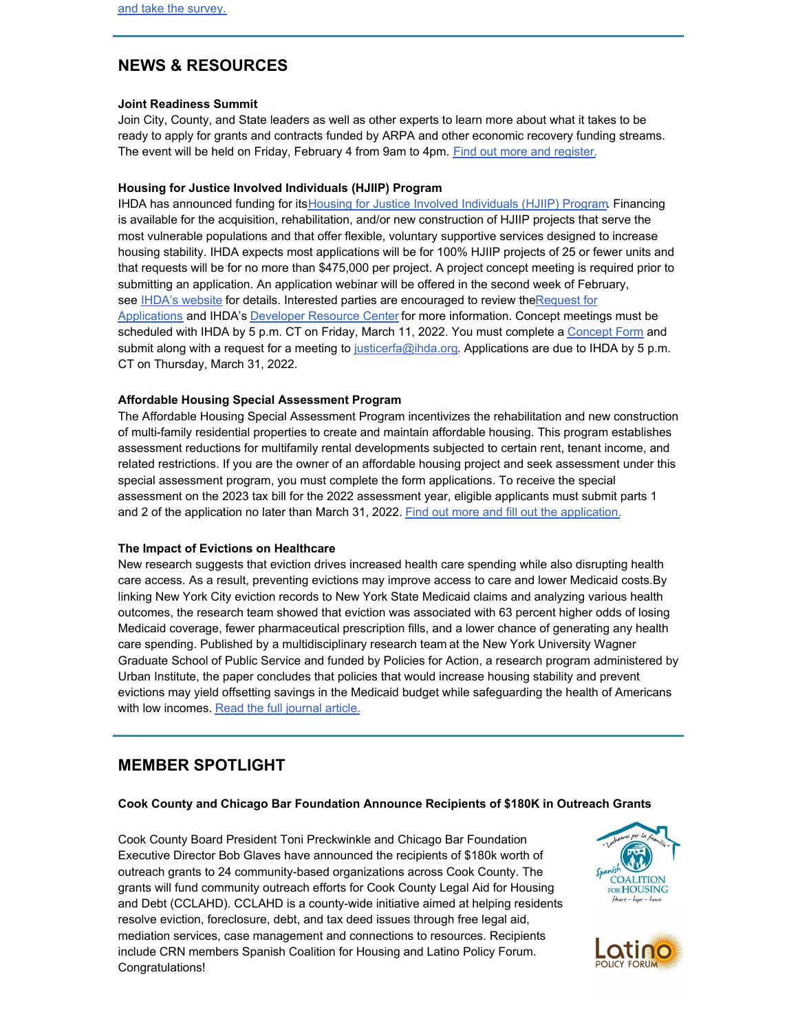## **NEWS & RESOURCES**

### **Joint Readiness Summit**

Join City, County, and State leaders as well as other experts to learn more about what it takes to be ready to apply for grants and contracts funded by ARPA and other economic recovery funding streams. The event will be held on Friday, February 4 from 9am to 4pm. Find out more and [register](https://www.eventbrite.com/e/joint-readiness-summit-tickets-253291671207).

#### **Housing for Justice Involved Individuals (HJIIP) Program**

IHDA has announced funding for itsHousing for Justice Involved [Individuals](https://r20.rs6.net/tn.jsp?f=001nSx3zeVK3uxxbbR95yEPnDD1-KE-azEB2j72h9YpcY1gRMmhQnLVQwqgnL89DVV-BEcZRDKwmG6Hr25Tap56zxOawQC5YNZvYvt1mrso7ZFaWcLt2eUa2pXIeyQ_K04N8X-gKc8hvbWt0-JSk3TE31ZaBwJbjhi6ovMd22qnEw6x7zxWcWv27M01tktg2LZNgqv7rBhBNkXPWAbcl041BUwbUQJl7y0t&c=o0XypbHCcEaA2vPK0S5ZFWhFQzah7FUkq89E7l3nMYbQPCEXOfx_Yg==&ch=LEhp34_wEr5ewTpfjrIR5j-5swXU_VbQxCYvVPQhW6Hb9fSc42zdPg==) (HJIIP) Program. Financing is available for the acquisition, rehabilitation, and/or new construction of HJIIP projects that serve the most vulnerable populations and that offer flexible, voluntary supportive services designed to increase housing stability. IHDA expects most applications will be for 100% HJIIP projects of 25 or fewer units and that requests will be for no more than \$475,000 per project. A project concept meeting is required prior to submitting an application. An application webinar will be offered in the second week of February, see IHDA's [website](https://r20.rs6.net/tn.jsp?f=001nSx3zeVK3uxxbbR95yEPnDD1-KE-azEB2j72h9YpcY1gRMmhQnLVQwqgnL89DVV-BEcZRDKwmG6Hr25Tap56zxOawQC5YNZvYvt1mrso7ZFaWcLt2eUa2pXIeyQ_K04N8X-gKc8hvbWt0-JSk3TE31ZaBwJbjhi6ovMd22qnEw6x7zxWcWv27M01tktg2LZNgqv7rBhBNkXPWAbcl041BUwbUQJl7y0t&c=o0XypbHCcEaA2vPK0S5ZFWhFQzah7FUkq89E7l3nMYbQPCEXOfx_Yg==&ch=LEhp34_wEr5ewTpfjrIR5j-5swXU_VbQxCYvVPQhW6Hb9fSc42zdPg==) for details. Interested parties are encouraged to review theRequest for [Applications](https://r20.rs6.net/tn.jsp?f=001nSx3zeVK3uxxbbR95yEPnDD1-KE-azEB2j72h9YpcY1gRMmhQnLVQwqgnL89DVV-w74rFIKQCQM11aQVTsgHi4ZHC5TB0pS_wEK-72NrRYVWvzvyKSgkQqze553iluP33-xGfB7ZQ3wIc_8qA2Gn_eiCoX5lHURdu0DcnU6RkJ-HCeN-MpPQQzS7Kgzq4WSnZUK7YyjYIHkEH907kk-ElpAScuEIYd9Co-LxS5FmlEbboSyiCDP4s4We8DgbJzFjddGUs6dZC7p5A1gHjE63e4L9zH-wmrNwtlga0jIZRpw=&c=o0XypbHCcEaA2vPK0S5ZFWhFQzah7FUkq89E7l3nMYbQPCEXOfx_Yg==&ch=LEhp34_wEr5ewTpfjrIR5j-5swXU_VbQxCYvVPQhW6Hb9fSc42zdPg==) and IHDA's [Developer](https://r20.rs6.net/tn.jsp?f=001nSx3zeVK3uxxbbR95yEPnDD1-KE-azEB2j72h9YpcY1gRMmhQnLVQwqgnL89DVV-BEcZRDKwmG6Hr25Tap56zxOawQC5YNZvYvt1mrso7ZFaWcLt2eUa2pXIeyQ_K04N8X-gKc8hvbWt0-JSk3TE31ZaBwJbjhi6ovMd22qnEw6x7zxWcWv27M01tktg2LZNgqv7rBhBNkXPWAbcl041BUwbUQJl7y0t&c=o0XypbHCcEaA2vPK0S5ZFWhFQzah7FUkq89E7l3nMYbQPCEXOfx_Yg==&ch=LEhp34_wEr5ewTpfjrIR5j-5swXU_VbQxCYvVPQhW6Hb9fSc42zdPg==) Resource Center for more information. Concept meetings must be scheduled with IHDA by 5 p.m. CT on Friday, March 11, 2022. You must complete a [Concept](https://r20.rs6.net/tn.jsp?f=001nSx3zeVK3uxxbbR95yEPnDD1-KE-azEB2j72h9YpcY1gRMmhQnLVQwqgnL89DVV-5BLxuDQVmW5wBMrrCmBAi_BFOtnhQvQacNNRTz1IA3ShuczV0WzRUEEAMydzWtfWUjc4jTfJierwIuxht4kCqmAuKL5shHCKmlumuREYMtJNXFQlclwoNcypPjz9_klQkLoc_fxC1V0ATL2LJPQvl-nzz7bPTOByRFCYB2zpc6FxWx5XoCOKLoPlnQGpxxROtH3mCx2eFko=&c=o0XypbHCcEaA2vPK0S5ZFWhFQzah7FUkq89E7l3nMYbQPCEXOfx_Yg==&ch=LEhp34_wEr5ewTpfjrIR5j-5swXU_VbQxCYvVPQhW6Hb9fSc42zdPg==) Form and submit along with a request for a meeting to [justicerfa@ihda.org](mailto:justicerfa@ihda.org). Applications are due to IHDA by 5 p.m. CT on Thursday, March 31, 2022.

#### **Affordable Housing Special Assessment Program**

The Affordable Housing Special Assessment Program incentivizes the rehabilitation and new construction of multi-family residential properties to create and maintain affordable housing. This program establishes assessment reductions for multifamily rental developments subjected to certain rent, tenant income, and related restrictions. If you are the owner of an affordable housing project and seek assessment under this special assessment program, you must complete the form applications. To receive the special assessment on the 2023 tax bill for the 2022 assessment year, eligible applicants must submit parts 1 and 2 of the application no later than March 31, 2022. Find out more and fill out the [application.](https://www.cookcountyassessor.com/affordable-housing)

#### **The Impact of Evictions on Healthcare**

New research suggests that eviction drives increased health care spending while also disrupting health care access. As a result, [preventing](https://click.news.urban.org/?qs=794a7085bea4e8f73dbd27831b764dd6c8320d76d22048366323b5a19d7373370a78b0c05cdd89cf3d487ede3c00ad9d9987d4f66943ce99) evictions may improve access to care and lower Medicaid costs.By linking New York City eviction records to New York State Medicaid claims and analyzing various health outcomes, the research team showed that eviction was associated with 63 percent higher odds of losing Medicaid coverage, fewer pharmaceutical prescription fills, and a lower chance of generating any health care spending. Published by a multidisciplinary research team at the New York University Wagner Graduate School of Public Service and funded by Policies for Action, a research program administered by Urban Institute, the paper concludes that policies that would increase housing stability and prevent evictions may yield offsetting savings in the Medicaid budget while safeguarding the health of Americans with low incomes. Read the full [journal](https://www.sciencedirect.com/science/article/pii/S0749379721004918?&utm_source=urban_EA&utm_medium=email&utm_campaign=evictions_nyc_medicaid&utm_term=p4a&utm_content=housing_advocates) article.

## **MEMBER SPOTLIGHT**

#### **Cook County and Chicago Bar Foundation Announce Recipients of \$180K in Outreach Grants**

Cook County Board President Toni Preckwinkle and Chicago Bar Foundation Executive Director Bob Glaves have announced the recipients of \$180k worth of outreach grants to 24 community-based organizations across Cook County. The grants will fund community outreach efforts for Cook County Legal Aid for Housing and Debt (CCLAHD). CCLAHD is a county-wide initiative aimed at helping residents resolve eviction, foreclosure, debt, and tax deed issues through free legal aid, mediation services, case management and connections to resources. Recipients include CRN members Spanish Coalition for Housing and Latino Policy Forum. Congratulations!